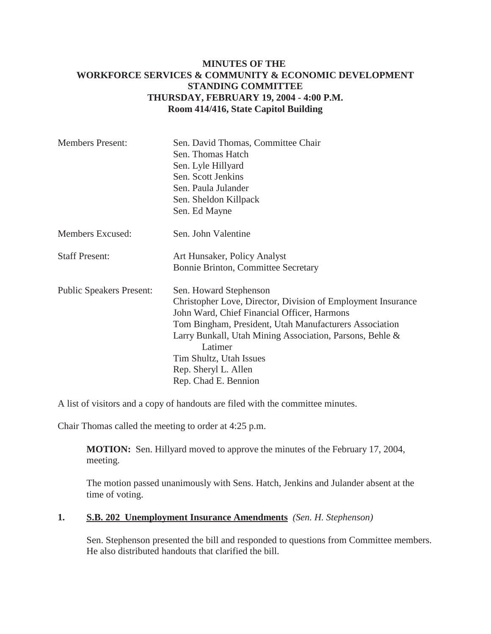## **MINUTES OF THE WORKFORCE SERVICES & COMMUNITY & ECONOMIC DEVELOPMENT STANDING COMMITTEE THURSDAY, FEBRUARY 19, 2004 - 4:00 P.M. Room 414/416, State Capitol Building**

| <b>Members Present:</b>         | Sen. David Thomas, Committee Chair<br>Sen. Thomas Hatch                                                     |
|---------------------------------|-------------------------------------------------------------------------------------------------------------|
|                                 | Sen. Lyle Hillyard                                                                                          |
|                                 | Sen. Scott Jenkins                                                                                          |
|                                 | Sen. Paula Julander                                                                                         |
|                                 | Sen. Sheldon Killpack                                                                                       |
|                                 | Sen. Ed Mayne                                                                                               |
| Members Excused:                | Sen. John Valentine                                                                                         |
| <b>Staff Present:</b>           | Art Hunsaker, Policy Analyst                                                                                |
|                                 | Bonnie Brinton, Committee Secretary                                                                         |
| <b>Public Speakers Present:</b> | Sen. Howard Stephenson                                                                                      |
|                                 | Christopher Love, Director, Division of Employment Insurance<br>John Ward, Chief Financial Officer, Harmons |
|                                 | Tom Bingham, President, Utah Manufacturers Association                                                      |
|                                 | Larry Bunkall, Utah Mining Association, Parsons, Behle &                                                    |
|                                 | Latimer                                                                                                     |
|                                 | Tim Shultz, Utah Issues                                                                                     |
|                                 | Rep. Sheryl L. Allen                                                                                        |
|                                 | Rep. Chad E. Bennion                                                                                        |

A list of visitors and a copy of handouts are filed with the committee minutes.

Chair Thomas called the meeting to order at 4:25 p.m.

**MOTION:** Sen. Hillyard moved to approve the minutes of the February 17, 2004, meeting.

The motion passed unanimously with Sens. Hatch, Jenkins and Julander absent at the time of voting.

## **1. S.B. 202 Unemployment Insurance Amendments** *(Sen. H. Stephenson)*

Sen. Stephenson presented the bill and responded to questions from Committee members. He also distributed handouts that clarified the bill.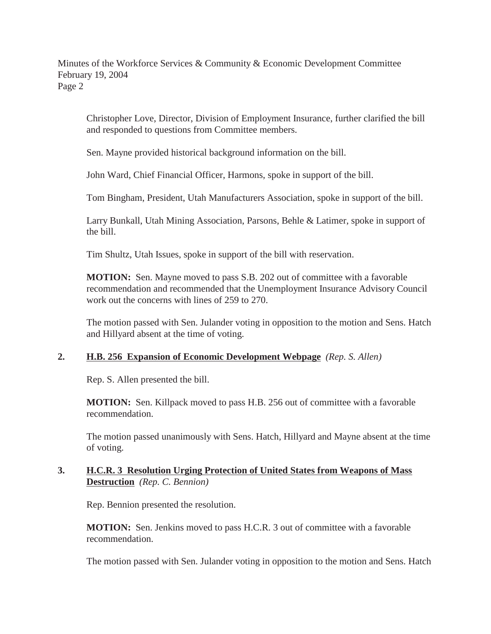Minutes of the Workforce Services & Community & Economic Development Committee February 19, 2004 Page 2

Christopher Love, Director, Division of Employment Insurance, further clarified the bill and responded to questions from Committee members.

Sen. Mayne provided historical background information on the bill.

John Ward, Chief Financial Officer, Harmons, spoke in support of the bill.

Tom Bingham, President, Utah Manufacturers Association, spoke in support of the bill.

Larry Bunkall, Utah Mining Association, Parsons, Behle & Latimer, spoke in support of the bill.

Tim Shultz, Utah Issues, spoke in support of the bill with reservation.

**MOTION:** Sen. Mayne moved to pass S.B. 202 out of committee with a favorable recommendation and recommended that the Unemployment Insurance Advisory Council work out the concerns with lines of 259 to 270.

The motion passed with Sen. Julander voting in opposition to the motion and Sens. Hatch and Hillyard absent at the time of voting.

## **2. H.B. 256 Expansion of Economic Development Webpage** *(Rep. S. Allen)*

Rep. S. Allen presented the bill.

**MOTION:** Sen. Killpack moved to pass H.B. 256 out of committee with a favorable recommendation.

The motion passed unanimously with Sens. Hatch, Hillyard and Mayne absent at the time of voting.

## **3. H.C.R. 3 Resolution Urging Protection of United States from Weapons of Mass Destruction** *(Rep. C. Bennion)*

Rep. Bennion presented the resolution.

**MOTION:** Sen. Jenkins moved to pass H.C.R. 3 out of committee with a favorable recommendation.

The motion passed with Sen. Julander voting in opposition to the motion and Sens. Hatch